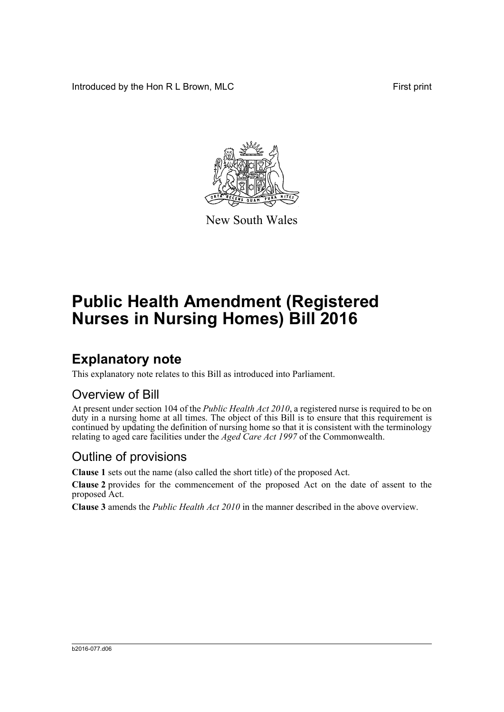Introduced by the Hon R L Brown, MLC First print



New South Wales

# **Public Health Amendment (Registered Nurses in Nursing Homes) Bill 2016**

## **Explanatory note**

This explanatory note relates to this Bill as introduced into Parliament.

#### Overview of Bill

At present under section 104 of the *Public Health Act 2010*, a registered nurse is required to be on duty in a nursing home at all times. The object of this Bill is to ensure that this requirement is continued by updating the definition of nursing home so that it is consistent with the terminology relating to aged care facilities under the *Aged Care Act 1997* of the Commonwealth.

#### Outline of provisions

**Clause 1** sets out the name (also called the short title) of the proposed Act.

**Clause 2** provides for the commencement of the proposed Act on the date of assent to the proposed Act.

**Clause 3** amends the *Public Health Act 2010* in the manner described in the above overview.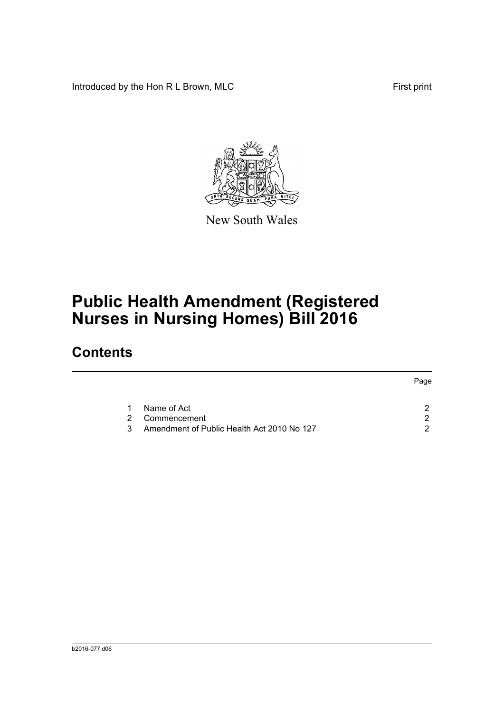Introduced by the Hon R L Brown, MLC First print



New South Wales

# **Public Health Amendment (Registered Nurses in Nursing Homes) Bill 2016**

### **Contents**

|   |                                            | Page |
|---|--------------------------------------------|------|
|   | Name of Act                                |      |
| 2 | Commencement                               | n    |
| 3 | Amendment of Public Health Act 2010 No 127 | ⌒    |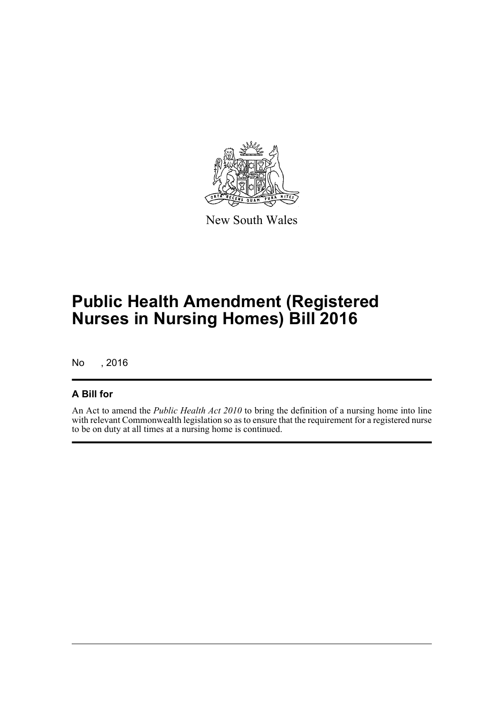

New South Wales

# **Public Health Amendment (Registered Nurses in Nursing Homes) Bill 2016**

No , 2016

#### **A Bill for**

An Act to amend the *Public Health Act 2010* to bring the definition of a nursing home into line with relevant Commonwealth legislation so as to ensure that the requirement for a registered nurse to be on duty at all times at a nursing home is continued.